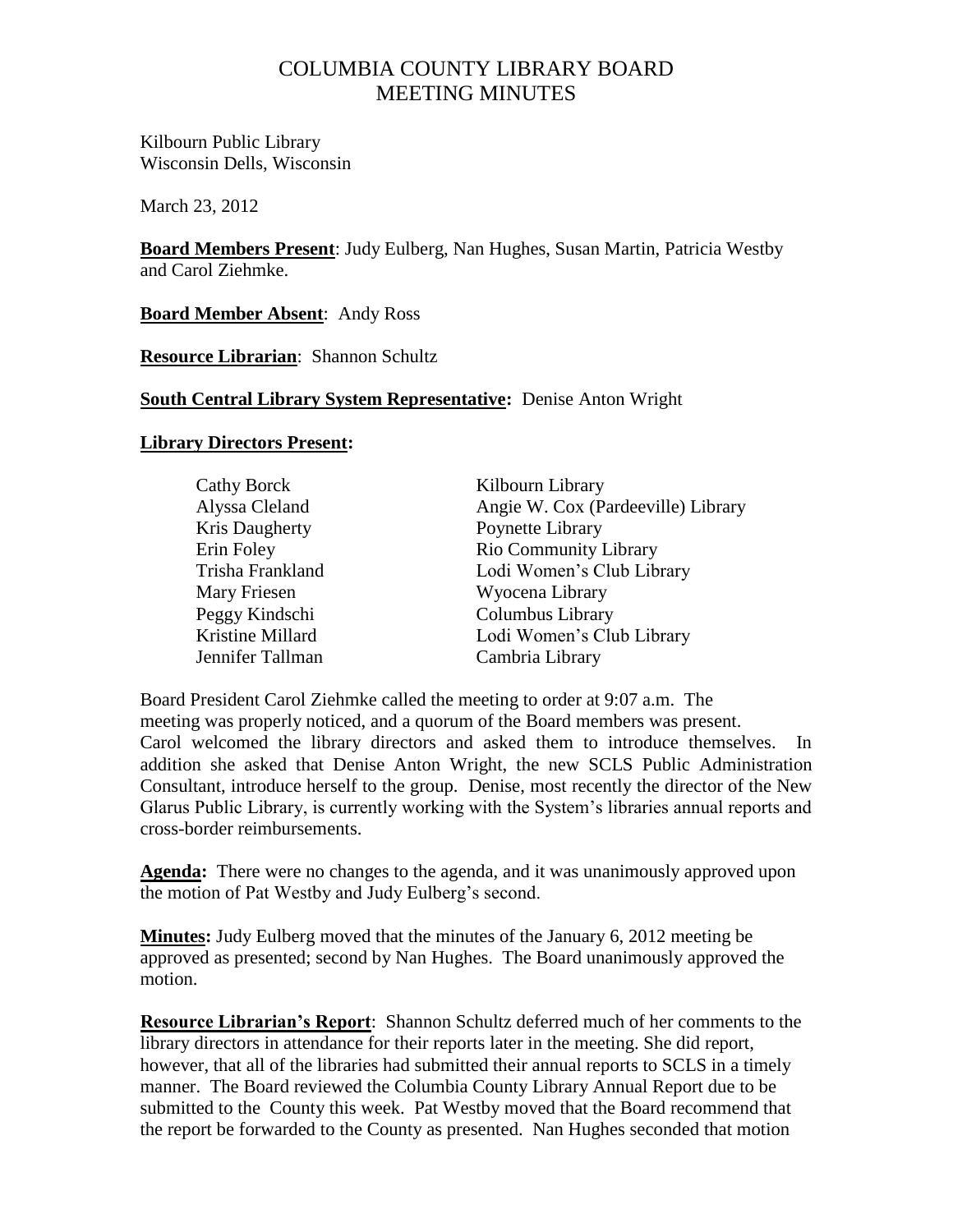# COLUMBIA COUNTY LIBRARY BOARD MEETING MINUTES

Kilbourn Public Library Wisconsin Dells, Wisconsin

March 23, 2012

**Board Members Present**: Judy Eulberg, Nan Hughes, Susan Martin, Patricia Westby and Carol Ziehmke.

**Board Member Absent**: Andy Ross

**Resource Librarian**: Shannon Schultz

### **South Central Library System Representative:** Denise Anton Wright

### **Library Directors Present:**

| <b>Cathy Borck</b> | Kilbourn Library                   |
|--------------------|------------------------------------|
| Alyssa Cleland     | Angie W. Cox (Pardeeville) Library |
| Kris Daugherty     | Poynette Library                   |
| Erin Foley         | <b>Rio Community Library</b>       |
| Trisha Frankland   | Lodi Women's Club Library          |
| Mary Friesen       | Wyocena Library                    |
| Peggy Kindschi     | Columbus Library                   |
| Kristine Millard   | Lodi Women's Club Library          |
| Jennifer Tallman   | Cambria Library                    |

Board President Carol Ziehmke called the meeting to order at 9:07 a.m. The meeting was properly noticed, and a quorum of the Board members was present. Carol welcomed the library directors and asked them to introduce themselves. In addition she asked that Denise Anton Wright, the new SCLS Public Administration Consultant, introduce herself to the group. Denise, most recently the director of the New Glarus Public Library, is currently working with the System's libraries annual reports and cross-border reimbursements.

**Agenda:** There were no changes to the agenda, and it was unanimously approved upon the motion of Pat Westby and Judy Eulberg's second.

**Minutes:** Judy Eulberg moved that the minutes of the January 6, 2012 meeting be approved as presented; second by Nan Hughes. The Board unanimously approved the motion.

**Resource Librarian's Report**: Shannon Schultz deferred much of her comments to the library directors in attendance for their reports later in the meeting. She did report, however, that all of the libraries had submitted their annual reports to SCLS in a timely manner. The Board reviewed the Columbia County Library Annual Report due to be submitted to the County this week. Pat Westby moved that the Board recommend that the report be forwarded to the County as presented. Nan Hughes seconded that motion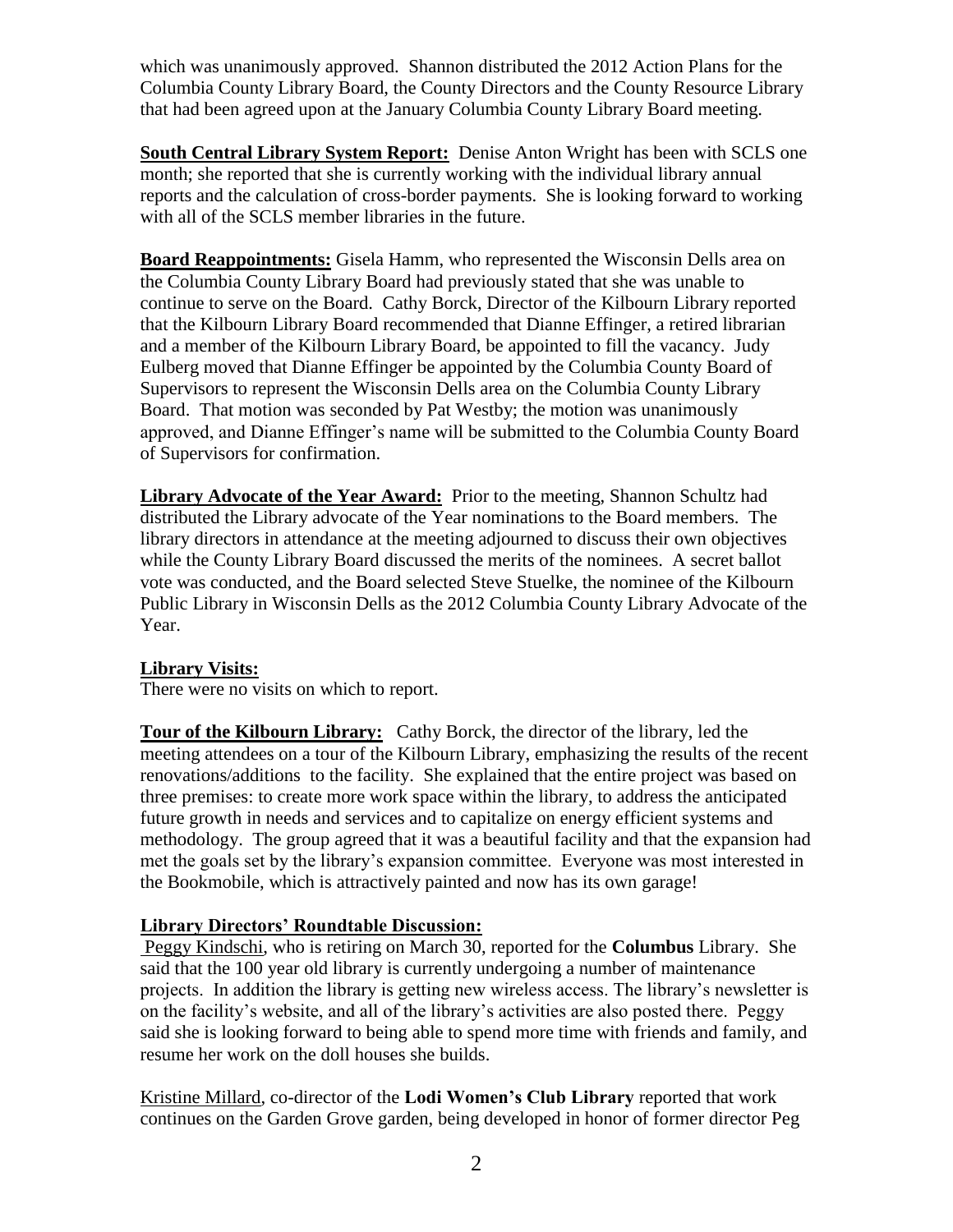which was unanimously approved. Shannon distributed the 2012 Action Plans for the Columbia County Library Board, the County Directors and the County Resource Library that had been agreed upon at the January Columbia County Library Board meeting.

**South Central Library System Report:** Denise Anton Wright has been with SCLS one month; she reported that she is currently working with the individual library annual reports and the calculation of cross-border payments. She is looking forward to working with all of the SCLS member libraries in the future.

**Board Reappointments:** Gisela Hamm, who represented the Wisconsin Dells area on the Columbia County Library Board had previously stated that she was unable to continue to serve on the Board. Cathy Borck, Director of the Kilbourn Library reported that the Kilbourn Library Board recommended that Dianne Effinger, a retired librarian and a member of the Kilbourn Library Board, be appointed to fill the vacancy. Judy Eulberg moved that Dianne Effinger be appointed by the Columbia County Board of Supervisors to represent the Wisconsin Dells area on the Columbia County Library Board. That motion was seconded by Pat Westby; the motion was unanimously approved, and Dianne Effinger's name will be submitted to the Columbia County Board of Supervisors for confirmation.

**Library Advocate of the Year Award:** Prior to the meeting, Shannon Schultz had distributed the Library advocate of the Year nominations to the Board members. The library directors in attendance at the meeting adjourned to discuss their own objectives while the County Library Board discussed the merits of the nominees. A secret ballot vote was conducted, and the Board selected Steve Stuelke, the nominee of the Kilbourn Public Library in Wisconsin Dells as the 2012 Columbia County Library Advocate of the Year.

# **Library Visits:**

There were no visits on which to report.

**Tour of the Kilbourn Library:** Cathy Borck, the director of the library, led the meeting attendees on a tour of the Kilbourn Library, emphasizing the results of the recent renovations/additions to the facility. She explained that the entire project was based on three premises: to create more work space within the library, to address the anticipated future growth in needs and services and to capitalize on energy efficient systems and methodology. The group agreed that it was a beautiful facility and that the expansion had met the goals set by the library's expansion committee. Everyone was most interested in the Bookmobile, which is attractively painted and now has its own garage!

# **Library Directors' Roundtable Discussion:**

Peggy Kindschi, who is retiring on March 30, reported for the **Columbus** Library. She said that the 100 year old library is currently undergoing a number of maintenance projects. In addition the library is getting new wireless access. The library's newsletter is on the facility's website, and all of the library's activities are also posted there. Peggy said she is looking forward to being able to spend more time with friends and family, and resume her work on the doll houses she builds.

Kristine Millard, co-director of the **Lodi Women's Club Library** reported that work continues on the Garden Grove garden, being developed in honor of former director Peg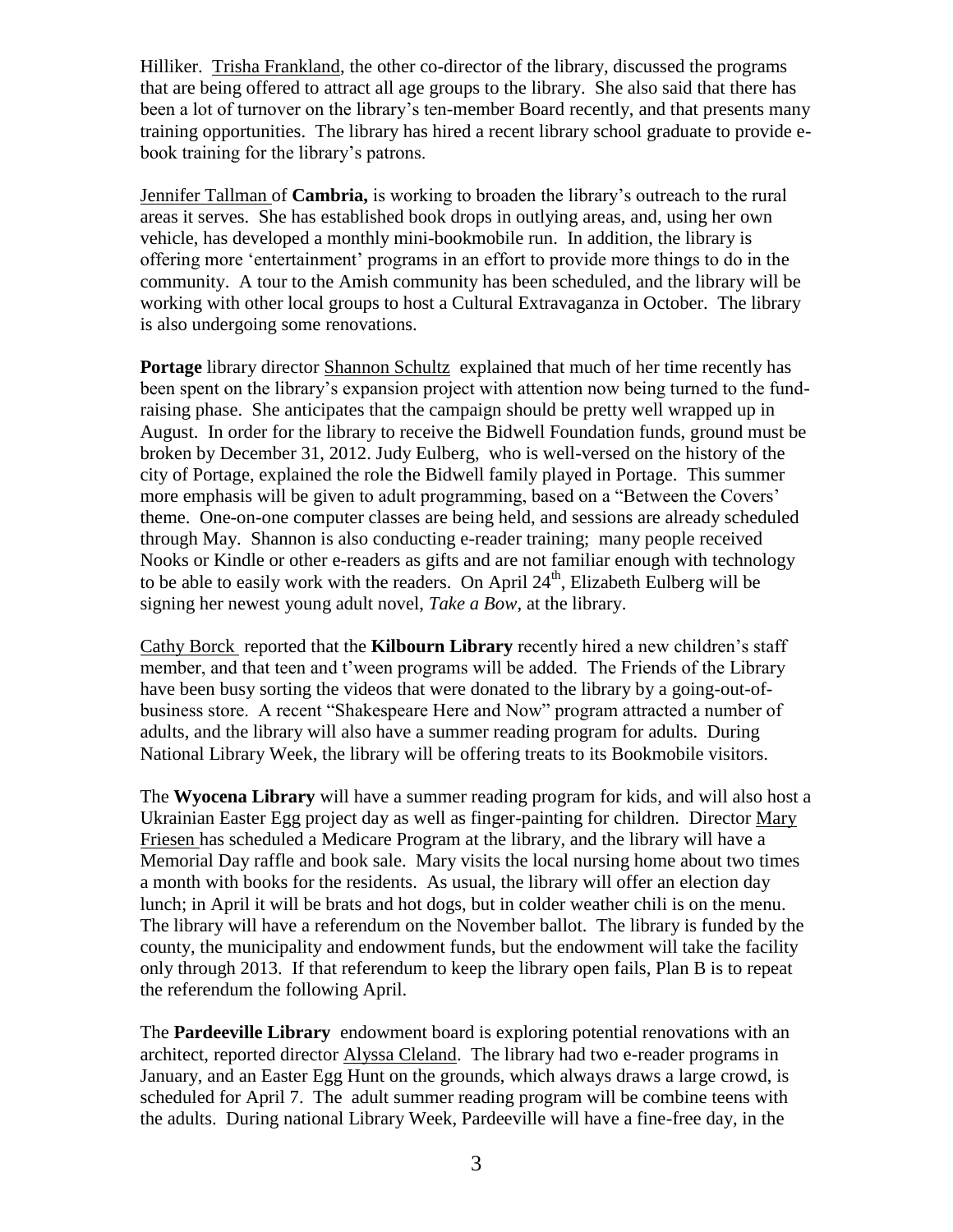Hilliker. Trisha Frankland, the other co-director of the library, discussed the programs that are being offered to attract all age groups to the library. She also said that there has been a lot of turnover on the library's ten-member Board recently, and that presents many training opportunities. The library has hired a recent library school graduate to provide ebook training for the library's patrons.

Jennifer Tallman of **Cambria,** is working to broaden the library's outreach to the rural areas it serves. She has established book drops in outlying areas, and, using her own vehicle, has developed a monthly mini-bookmobile run. In addition, the library is offering more 'entertainment' programs in an effort to provide more things to do in the community. A tour to the Amish community has been scheduled, and the library will be working with other local groups to host a Cultural Extravaganza in October. The library is also undergoing some renovations.

**Portage** library director Shannon Schultz explained that much of her time recently has been spent on the library's expansion project with attention now being turned to the fundraising phase. She anticipates that the campaign should be pretty well wrapped up in August. In order for the library to receive the Bidwell Foundation funds, ground must be broken by December 31, 2012. Judy Eulberg, who is well-versed on the history of the city of Portage, explained the role the Bidwell family played in Portage. This summer more emphasis will be given to adult programming, based on a "Between the Covers' theme. One-on-one computer classes are being held, and sessions are already scheduled through May. Shannon is also conducting e-reader training; many people received Nooks or Kindle or other e-readers as gifts and are not familiar enough with technology to be able to easily work with the readers. On April  $24<sup>th</sup>$ , Elizabeth Eulberg will be signing her newest young adult novel, *Take a Bow,* at the library.

Cathy Borck reported that the **Kilbourn Library** recently hired a new children's staff member, and that teen and t'ween programs will be added. The Friends of the Library have been busy sorting the videos that were donated to the library by a going-out-ofbusiness store. A recent "Shakespeare Here and Now" program attracted a number of adults, and the library will also have a summer reading program for adults. During National Library Week, the library will be offering treats to its Bookmobile visitors.

The **Wyocena Library** will have a summer reading program for kids, and will also host a Ukrainian Easter Egg project day as well as finger-painting for children. Director Mary Friesen has scheduled a Medicare Program at the library, and the library will have a Memorial Day raffle and book sale. Mary visits the local nursing home about two times a month with books for the residents. As usual, the library will offer an election day lunch; in April it will be brats and hot dogs, but in colder weather chili is on the menu. The library will have a referendum on the November ballot. The library is funded by the county, the municipality and endowment funds, but the endowment will take the facility only through 2013. If that referendum to keep the library open fails, Plan B is to repeat the referendum the following April.

The **Pardeeville Library** endowment board is exploring potential renovations with an architect, reported director Alyssa Cleland. The library had two e-reader programs in January, and an Easter Egg Hunt on the grounds, which always draws a large crowd, is scheduled for April 7. The adult summer reading program will be combine teens with the adults. During national Library Week, Pardeeville will have a fine-free day, in the